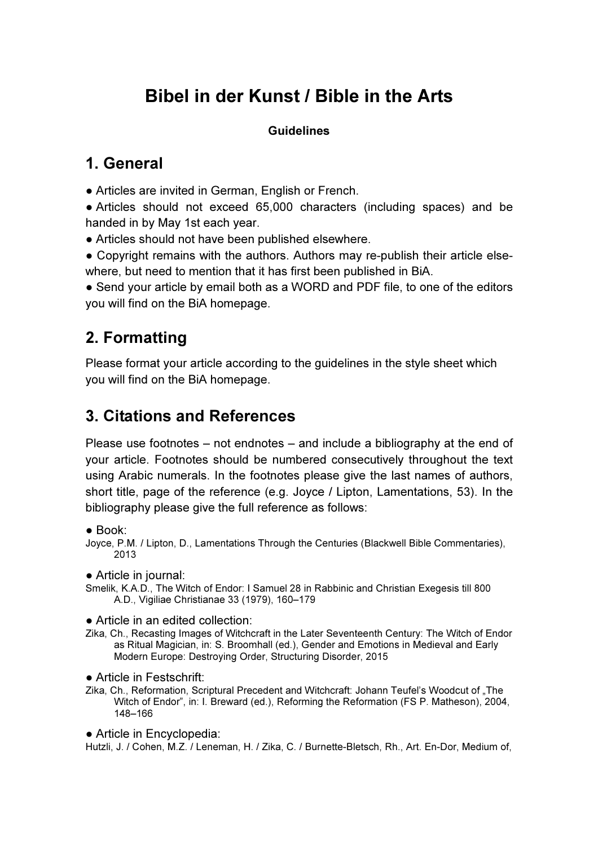# Bibel in der Kunst / Bible in the Arts

#### **Guidelines**

# 1. General

● Articles are invited in German, English or French.

● Articles should not exceed 65,000 characters (including spaces) and be handed in by May 1st each year.

• Articles should not have been published elsewhere.

● Copyright remains with the authors. Authors may re-publish their article elsewhere, but need to mention that it has first been published in BiA.

• Send your article by email both as a WORD and PDF file, to one of the editors you will find on the BiA homepage.

# 2. Formatting

Please format your article according to the guidelines in the style sheet which you will find on the BiA homepage.

# 3. Citations and References

Please use footnotes – not endnotes – and include a bibliography at the end of your article. Footnotes should be numbered consecutively throughout the text using Arabic numerals. In the footnotes please give the last names of authors, short title, page of the reference (e.g. Joyce / Lipton, Lamentations, 53). In the bibliography please give the full reference as follows:

 $\bullet$  Book:

Joyce, P.M. / Lipton, D., Lamentations Through the Centuries (Blackwell Bible Commentaries), 2013

● Article in journal:

Smelik, K.A.D., The Witch of Endor: I Samuel 28 in Rabbinic and Christian Exegesis till 800 A.D., Vigiliae Christianae 33 (1979), 160–179

• Article in an edited collection:

- Zika, Ch., Recasting Images of Witchcraft in the Later Seventeenth Century: The Witch of Endor as Ritual Magician, in: S. Broomhall (ed.), Gender and Emotions in Medieval and Early Modern Europe: Destroying Order, Structuring Disorder, 2015
- Article in Festschrift:
- Zika, Ch., Reformation, Scriptural Precedent and Witchcraft: Johann Teufel's Woodcut of "The Witch of Endor", in: I. Breward (ed.), Reforming the Reformation (FS P. Matheson), 2004, 148–166

● Article in Encyclopedia:

Hutzli, J. / Cohen, M.Z. / Leneman, H. / Zika, C. / Burnette-Bletsch, Rh., Art. En-Dor, Medium of,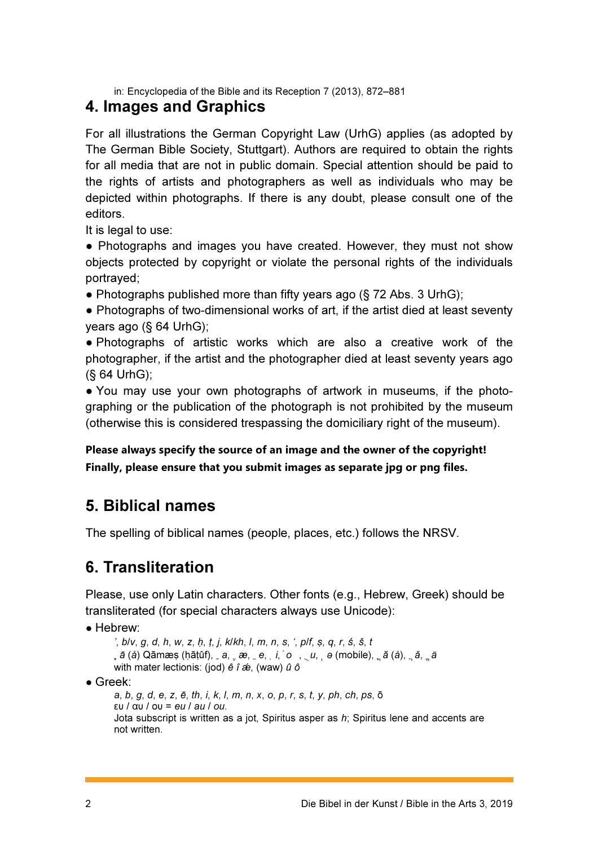in: Encyclopedia of the Bible and its Reception 7 (2013), 872–881

### 4. Images and Graphics

For all illustrations the German Copyright Law (UrhG) applies (as adopted by The German Bible Society, Stuttgart). Authors are required to obtain the rights for all media that are not in public domain. Special attention should be paid to the rights of artists and photographers as well as individuals who may be depicted within photographs. If there is any doubt, please consult one of the editors.

It is legal to use:

• Photographs and images you have created. However, they must not show objects protected by copyright or violate the personal rights of the individuals portrayed;

• Photographs published more than fifty years ago ( $\S$  72 Abs. 3 UrhG);

● Photographs of two-dimensional works of art, if the artist died at least seventy years ago (§ 64 UrhG);

• Photographs of artistic works which are also a creative work of the photographer, if the artist and the photographer died at least seventy years ago (§ 64 UrhG);

• You may use your own photographs of artwork in museums, if the photographing or the publication of the photograph is not prohibited by the museum (otherwise this is considered trespassing the domiciliary right of the museum).

### Please always specify the source of an image and the owner of the copyright! Finally, please ensure that you submit images as separate jpg or png files.

## 5. Biblical names

The spelling of biblical names (people, places, etc.) follows the NRSV.

## 6. Transliteration

Please, use only Latin characters. Other fonts (e.g., Hebrew, Greek) should be transliterated (for special characters always use Unicode):

● Hebrew:

```
', b/v, g, d, h, w, z, ḥ, ṭ, j, k/kh, l, m, n, s, ', p/f, ṣ, q, r, ś, š, t
\overline{a} (å) Qāmæṣ (ḥāṭûf), \overline{a}, ൢ æ, ൢ e, į, ໋o \overline{a}, ̥ ə (mobile), ̥ ă (å), ̥ ă, ួ ä
with mater lectionis: (jod) \vec{e} \hat{i} \hat{\alpha}, (waw) \hat{u} \hat{o}
```
● Greek:

```
a, b, g, d, e, z, ē, th, i, k, l, m, n, x, o, p, r, s, t, y, ph, ch, ps, ō 
ευ / αυ / ου = eu / au / ou.
Jota subscript is written as a jot, Spiritus asper as h; Spiritus lene and accents are
not written.
```